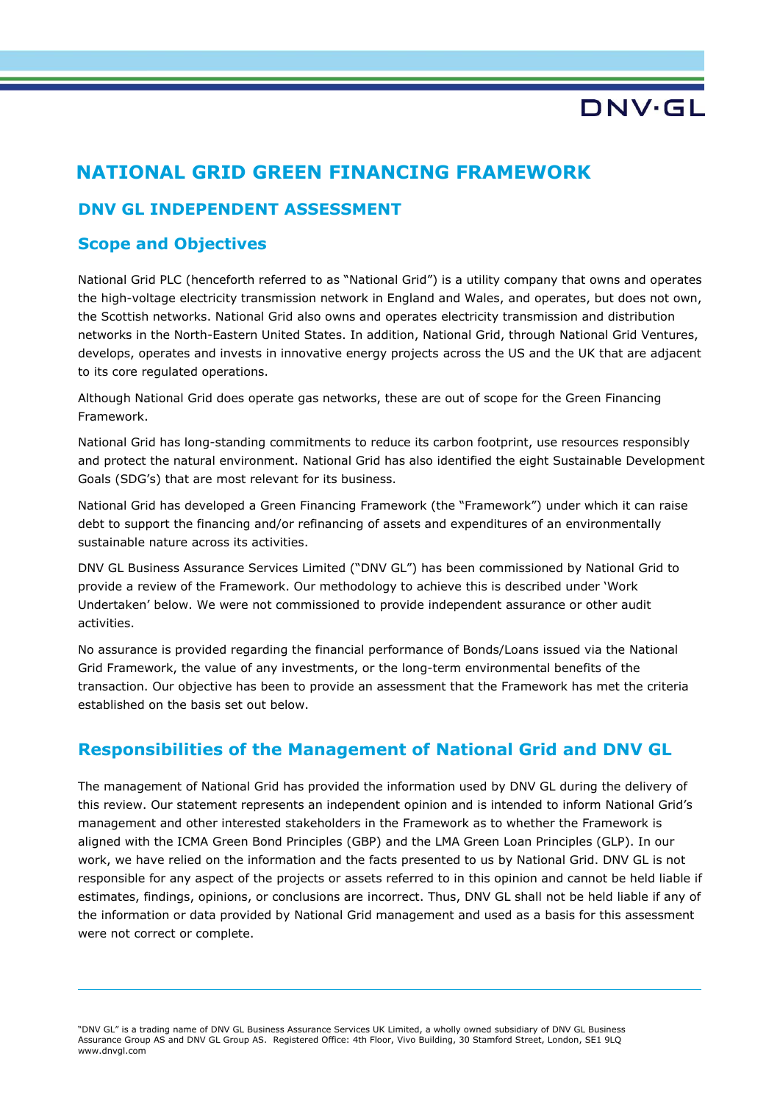## **NATIONAL GRID GREEN FINANCING FRAMEWORK**

### **DNV GL INDEPENDENT ASSESSMENT**

### **Scope and Objectives**

National Grid PLC (henceforth referred to as "National Grid") is a utility company that owns and operates the high-voltage electricity transmission network in England and Wales, and operates, but does not own, the Scottish networks. National Grid also owns and operates electricity transmission and distribution networks in the North-Eastern United States. In addition, National Grid, through National Grid Ventures, develops, operates and invests in innovative energy projects across the US and the UK that are adjacent to its core regulated operations.

Although National Grid does operate gas networks, these are out of scope for the Green Financing Framework.

National Grid has long-standing commitments to reduce its carbon footprint, use resources responsibly and protect the natural environment. National Grid has also identified the eight Sustainable Development Goals (SDG's) that are most relevant for its business.

National Grid has developed a Green Financing Framework (the "Framework") under which it can raise debt to support the financing and/or refinancing of assets and expenditures of an environmentally sustainable nature across its activities.

DNV GL Business Assurance Services Limited ("DNV GL") has been commissioned by National Grid to provide a review of the Framework. Our methodology to achieve this is described under 'Work Undertaken' below. We were not commissioned to provide independent assurance or other audit activities.

No assurance is provided regarding the financial performance of Bonds/Loans issued via the National Grid Framework, the value of any investments, or the long-term environmental benefits of the transaction. Our objective has been to provide an assessment that the Framework has met the criteria established on the basis set out below.

### **Responsibilities of the Management of National Grid and DNV GL**

The management of National Grid has provided the information used by DNV GL during the delivery of this review. Our statement represents an independent opinion and is intended to inform National Grid's management and other interested stakeholders in the Framework as to whether the Framework is aligned with the ICMA Green Bond Principles (GBP) and the LMA Green Loan Principles (GLP). In our work, we have relied on the information and the facts presented to us by National Grid. DNV GL is not responsible for any aspect of the projects or assets referred to in this opinion and cannot be held liable if estimates, findings, opinions, or conclusions are incorrect. Thus, DNV GL shall not be held liable if any of the information or data provided by National Grid management and used as a basis for this assessment were not correct or complete.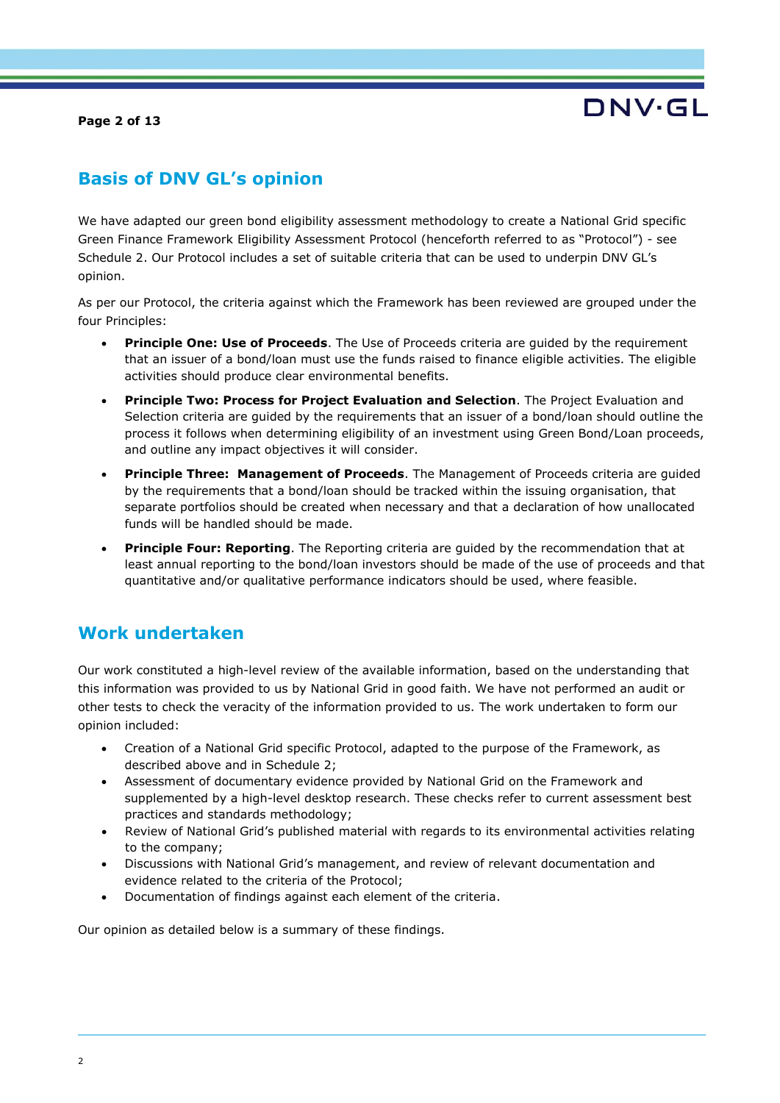**Page 2 of 13**



## **Basis of DNV GL's opinion**

We have adapted our green bond eligibility assessment methodology to create a National Grid specific Green Finance Framework Eligibility Assessment Protocol (henceforth referred to as "Protocol") - see Schedule 2. Our Protocol includes a set of suitable criteria that can be used to underpin DNV GL's opinion.

As per our Protocol, the criteria against which the Framework has been reviewed are grouped under the four Principles:

- **Principle One: Use of Proceeds**. The Use of Proceeds criteria are guided by the requirement that an issuer of a bond/loan must use the funds raised to finance eligible activities. The eligible activities should produce clear environmental benefits.
- **Principle Two: Process for Project Evaluation and Selection**. The Project Evaluation and Selection criteria are guided by the requirements that an issuer of a bond/loan should outline the process it follows when determining eligibility of an investment using Green Bond/Loan proceeds, and outline any impact objectives it will consider.
- **Principle Three: Management of Proceeds**. The Management of Proceeds criteria are guided by the requirements that a bond/loan should be tracked within the issuing organisation, that separate portfolios should be created when necessary and that a declaration of how unallocated funds will be handled should be made.
- **Principle Four: Reporting**. The Reporting criteria are guided by the recommendation that at least annual reporting to the bond/loan investors should be made of the use of proceeds and that quantitative and/or qualitative performance indicators should be used, where feasible.

### **Work undertaken**

Our work constituted a high-level review of the available information, based on the understanding that this information was provided to us by National Grid in good faith. We have not performed an audit or other tests to check the veracity of the information provided to us. The work undertaken to form our opinion included:

- Creation of a National Grid specific Protocol, adapted to the purpose of the Framework, as described above and in Schedule 2;
- Assessment of documentary evidence provided by National Grid on the Framework and supplemented by a high-level desktop research. These checks refer to current assessment best practices and standards methodology;
- Review of National Grid's published material with regards to its environmental activities relating to the company;
- Discussions with National Grid's management, and review of relevant documentation and evidence related to the criteria of the Protocol;
- Documentation of findings against each element of the criteria.

Our opinion as detailed below is a summary of these findings.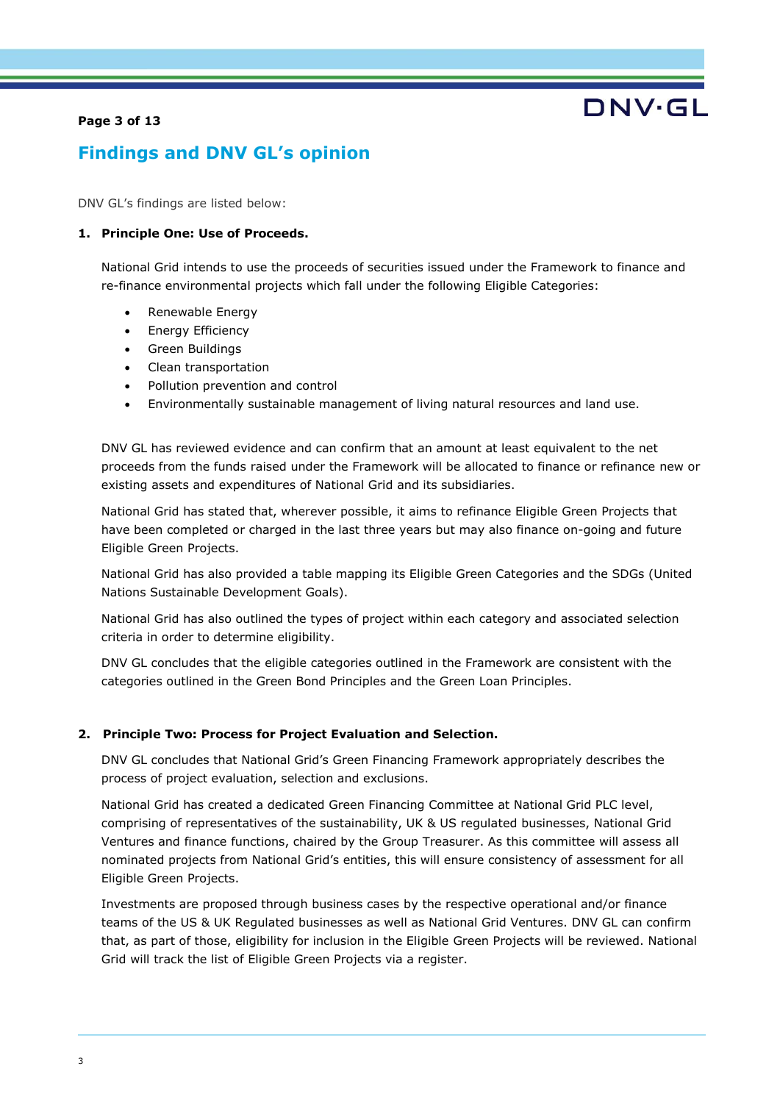#### **Page 3 of 13**

# DNV·GL

## **Findings and DNV GL's opinion**

DNV GL's findings are listed below:

#### **1. Principle One: Use of Proceeds.**

National Grid intends to use the proceeds of securities issued under the Framework to finance and re-finance environmental projects which fall under the following Eligible Categories:

- Renewable Energy
- Energy Efficiency
- Green Buildings
- Clean transportation
- Pollution prevention and control
- Environmentally sustainable management of living natural resources and land use.

DNV GL has reviewed evidence and can confirm that an amount at least equivalent to the net proceeds from the funds raised under the Framework will be allocated to finance or refinance new or existing assets and expenditures of National Grid and its subsidiaries.

National Grid has stated that, wherever possible, it aims to refinance Eligible Green Projects that have been completed or charged in the last three years but may also finance on-going and future Eligible Green Projects.

National Grid has also provided a table mapping its Eligible Green Categories and the SDGs (United Nations Sustainable Development Goals).

National Grid has also outlined the types of project within each category and associated selection criteria in order to determine eligibility.

DNV GL concludes that the eligible categories outlined in the Framework are consistent with the categories outlined in the Green Bond Principles and the Green Loan Principles.

#### **2. Principle Two: Process for Project Evaluation and Selection.**

DNV GL concludes that National Grid's Green Financing Framework appropriately describes the process of project evaluation, selection and exclusions.

National Grid has created a dedicated Green Financing Committee at National Grid PLC level, comprising of representatives of the sustainability, UK & US regulated businesses, National Grid Ventures and finance functions, chaired by the Group Treasurer. As this committee will assess all nominated projects from National Grid's entities, this will ensure consistency of assessment for all Eligible Green Projects.

Investments are proposed through business cases by the respective operational and/or finance teams of the US & UK Regulated businesses as well as National Grid Ventures. DNV GL can confirm that, as part of those, eligibility for inclusion in the Eligible Green Projects will be reviewed. National Grid will track the list of Eligible Green Projects via a register.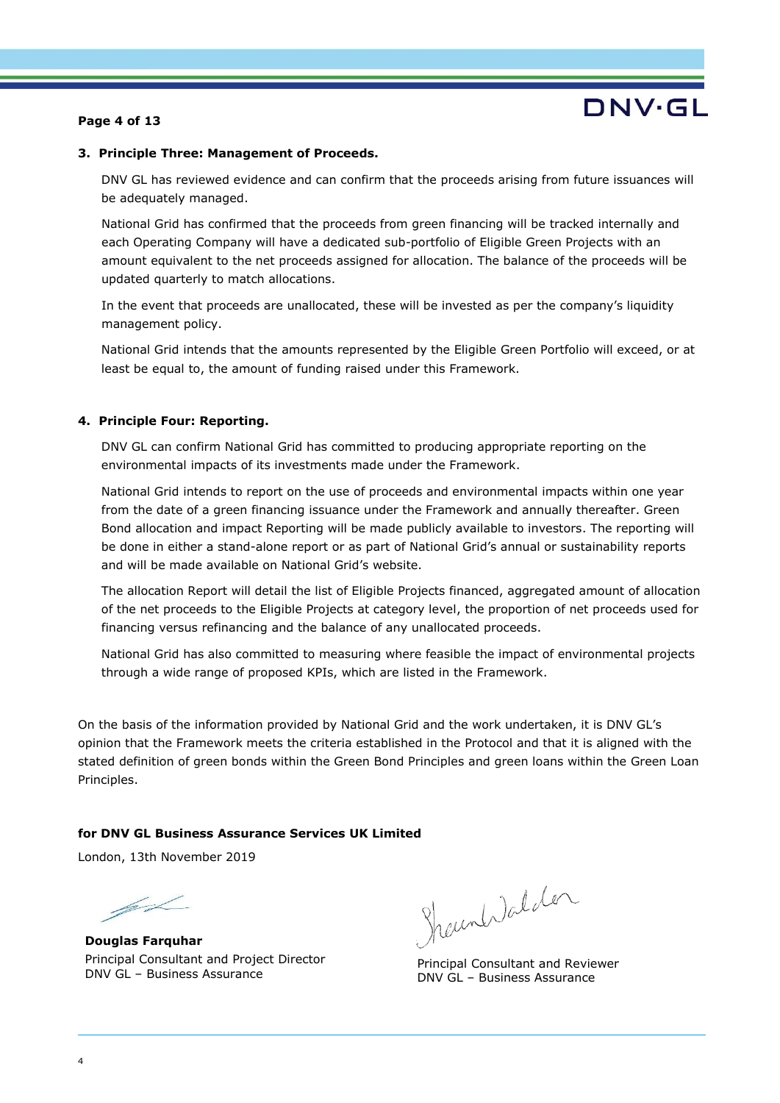#### **Page 4 of 13**

# DNV·GL

#### **3. Principle Three: Management of Proceeds.**

DNV GL has reviewed evidence and can confirm that the proceeds arising from future issuances will be adequately managed.

National Grid has confirmed that the proceeds from green financing will be tracked internally and each Operating Company will have a dedicated sub-portfolio of Eligible Green Projects with an amount equivalent to the net proceeds assigned for allocation. The balance of the proceeds will be updated quarterly to match allocations.

In the event that proceeds are unallocated, these will be invested as per the company's liquidity management policy.

National Grid intends that the amounts represented by the Eligible Green Portfolio will exceed, or at least be equal to, the amount of funding raised under this Framework.

#### **4. Principle Four: Reporting.**

DNV GL can confirm National Grid has committed to producing appropriate reporting on the environmental impacts of its investments made under the Framework.

National Grid intends to report on the use of proceeds and environmental impacts within one year from the date of a green financing issuance under the Framework and annually thereafter. Green Bond allocation and impact Reporting will be made publicly available to investors. The reporting will be done in either a stand-alone report or as part of National Grid's annual or sustainability reports and will be made available on National Grid's website.

The allocation Report will detail the list of Eligible Projects financed, aggregated amount of allocation of the net proceeds to the Eligible Projects at category level, the proportion of net proceeds used for financing versus refinancing and the balance of any unallocated proceeds.

National Grid has also committed to measuring where feasible the impact of environmental projects through a wide range of proposed KPIs, which are listed in the Framework.

On the basis of the information provided by National Grid and the work undertaken, it is DNV GL's opinion that the Framework meets the criteria established in the Protocol and that it is aligned with the stated definition of green bonds within the Green Bond Principles and green loans within the Green Loan Principles.

#### **for DNV GL Business Assurance Services UK Limited**

London, 13th November 2019

 $\cancel{\mathscr{A}}$ 

**Douglas Farquhar** Principal Consultant and Project Director DNV GL – Business Assurance

**Shaun Walden**

Principal Consultant and Reviewer DNV GL – Business Assurance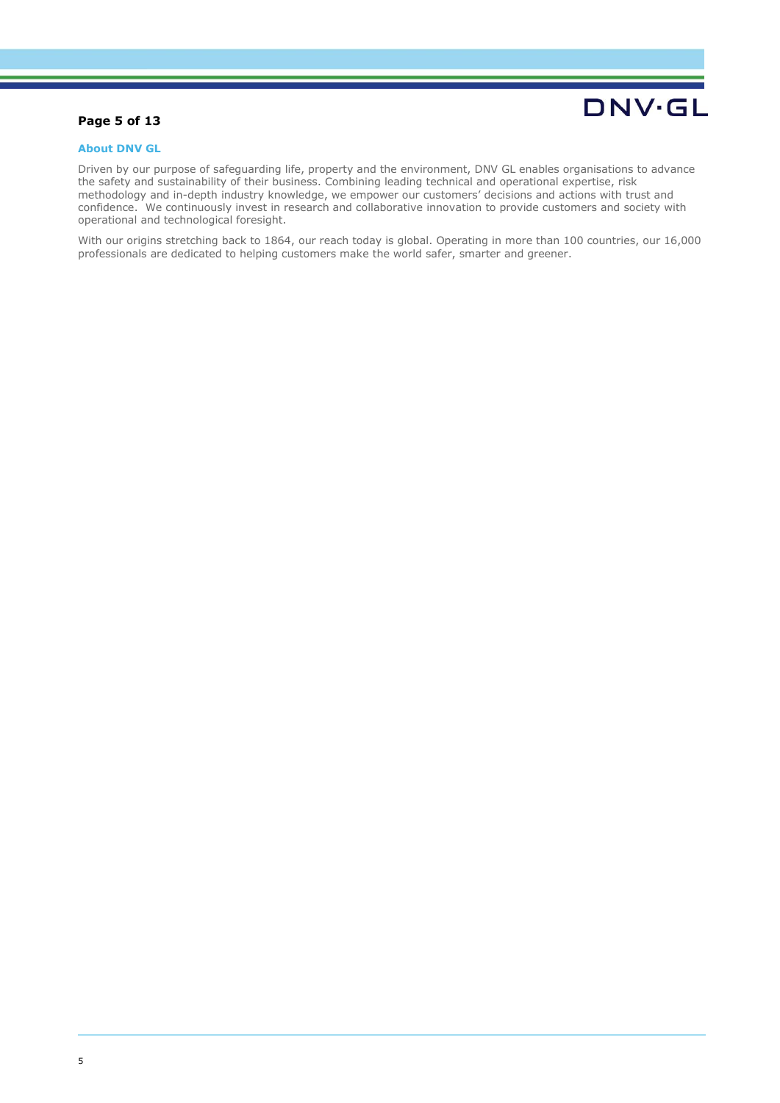#### **Page 5 of 13**

# **DNV·GL**

#### **About DNV GL**

Driven by our purpose of safeguarding life, property and the environment, DNV GL enables organisations to advance the safety and sustainability of their business. Combining leading technical and operational expertise, risk methodology and in-depth industry knowledge, we empower our customers' decisions and actions with trust and confidence. We continuously invest in research and collaborative innovation to provide customers and society with operational and technological foresight.

With our origins stretching back to 1864, our reach today is global. Operating in more than 100 countries, our 16,000 professionals are dedicated to helping customers make the world safer, smarter and greener.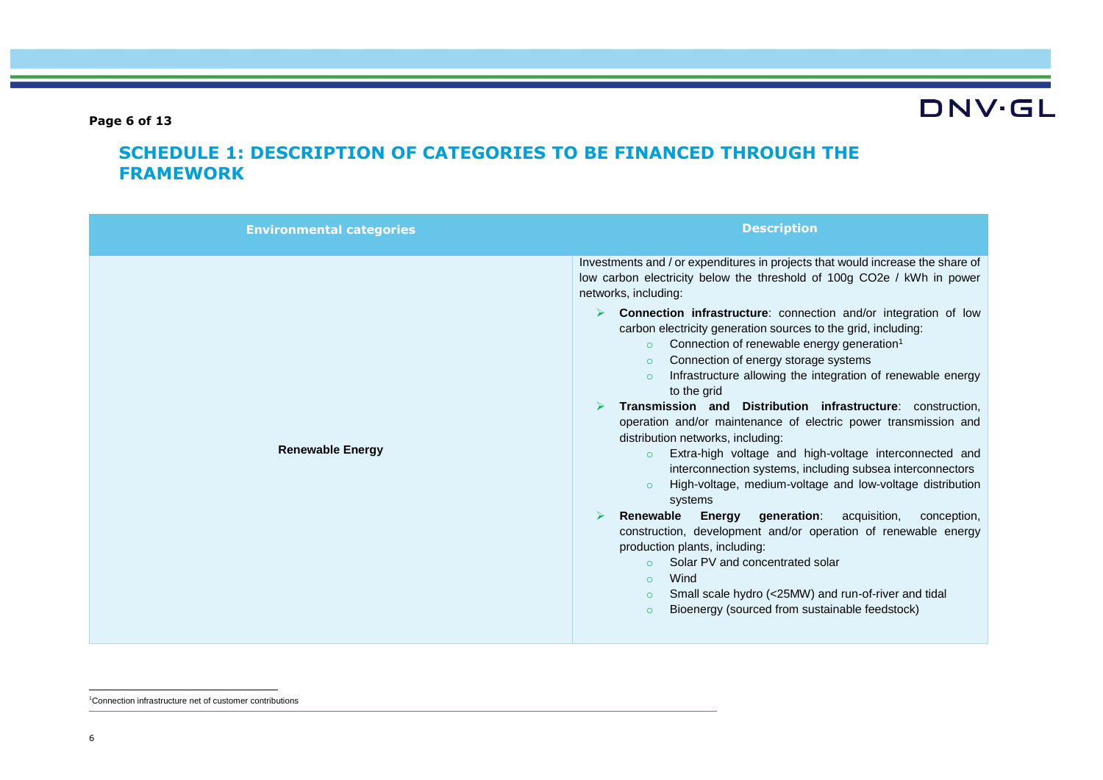**Page 6 of 13**

# **DNV·GL**

## **SCHEDULE 1: DESCRIPTION OF CATEGORIES TO BE FINANCED THROUGH THE FRAMEWORK**

| <b>Environmental categories</b> | <b>Description</b>                                                                                                                                                                                                                                                                                                                                                                                                                                                                                                                                                                                                                                                                                                                                                                                                                                                                                                                                                                                                                                                                                                                                                                                                                                                                                                    |
|---------------------------------|-----------------------------------------------------------------------------------------------------------------------------------------------------------------------------------------------------------------------------------------------------------------------------------------------------------------------------------------------------------------------------------------------------------------------------------------------------------------------------------------------------------------------------------------------------------------------------------------------------------------------------------------------------------------------------------------------------------------------------------------------------------------------------------------------------------------------------------------------------------------------------------------------------------------------------------------------------------------------------------------------------------------------------------------------------------------------------------------------------------------------------------------------------------------------------------------------------------------------------------------------------------------------------------------------------------------------|
| <b>Renewable Energy</b>         | Investments and / or expenditures in projects that would increase the share of<br>low carbon electricity below the threshold of 100g CO2e / kWh in power<br>networks, including:<br>Connection infrastructure: connection and/or integration of low<br>carbon electricity generation sources to the grid, including:<br>Connection of renewable energy generation <sup>1</sup><br>$\circ$<br>Connection of energy storage systems<br>$\Omega$<br>Infrastructure allowing the integration of renewable energy<br>$\circ$<br>to the grid<br>Transmission and Distribution infrastructure: construction.<br>operation and/or maintenance of electric power transmission and<br>distribution networks, including:<br>Extra-high voltage and high-voltage interconnected and<br>$\circ$<br>interconnection systems, including subsea interconnectors<br>High-voltage, medium-voltage and low-voltage distribution<br>$\circ$<br>systems<br>Renewable<br><b>Energy generation:</b><br>acquisition,<br>conception,<br>⋗<br>construction, development and/or operation of renewable energy<br>production plants, including:<br>Solar PV and concentrated solar<br>$\Omega$<br>Wind<br>$\circ$<br>Small scale hydro (<25MW) and run-of-river and tidal<br>$\circ$<br>Bioenergy (sourced from sustainable feedstock)<br>$\circ$ |

 1Connection infrastructure net of customer contributions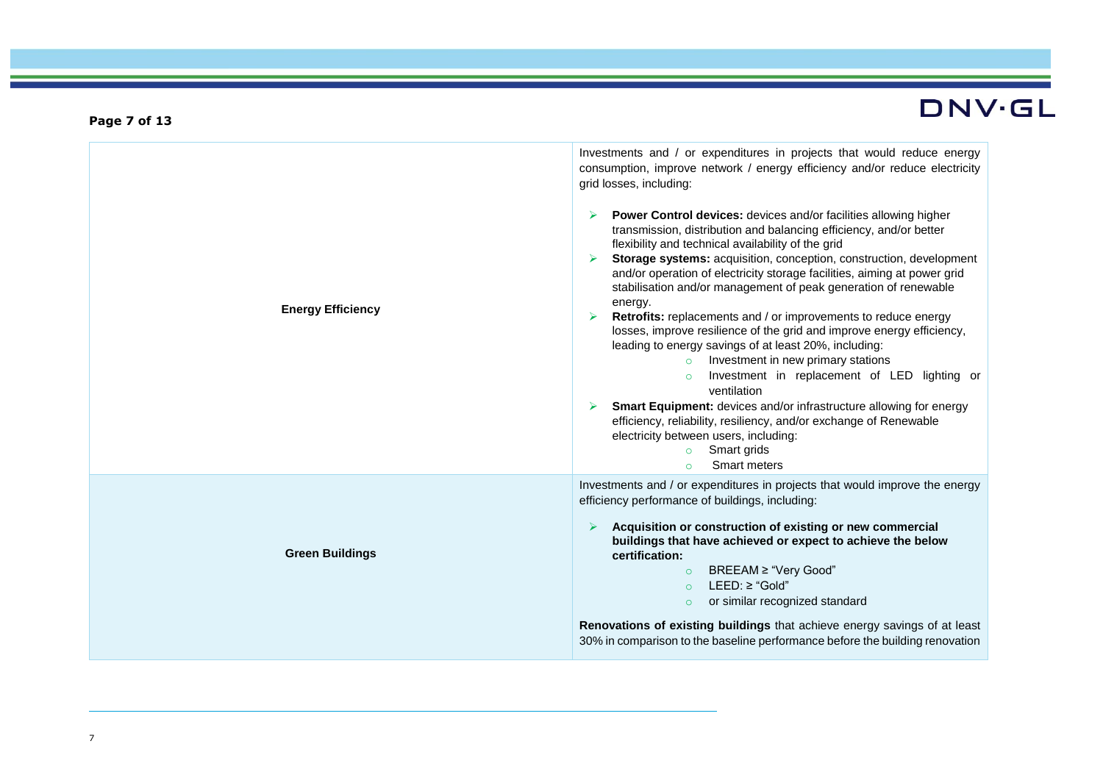| <b>Energy Efficiency</b> | Investments and / or expenditures in projects that would reduce energy<br>consumption, improve network / energy efficiency and/or reduce electricity<br>grid losses, including:<br><b>Power Control devices:</b> devices and/or facilities allowing higher<br>transmission, distribution and balancing efficiency, and/or better<br>flexibility and technical availability of the grid<br>Storage systems: acquisition, conception, construction, development<br>and/or operation of electricity storage facilities, aiming at power grid<br>stabilisation and/or management of peak generation of renewable<br>energy.<br>Retrofits: replacements and / or improvements to reduce energy<br>losses, improve resilience of the grid and improve energy efficiency,<br>leading to energy savings of at least 20%, including:<br>Investment in new primary stations<br>$\circ$<br>Investment in replacement of LED lighting or<br>$\circ$<br>ventilation<br>Smart Equipment: devices and/or infrastructure allowing for energy<br>efficiency, reliability, resiliency, and/or exchange of Renewable<br>electricity between users, including:<br>Smart grids<br>$\circ$<br>Smart meters<br>$\Omega$ |
|--------------------------|--------------------------------------------------------------------------------------------------------------------------------------------------------------------------------------------------------------------------------------------------------------------------------------------------------------------------------------------------------------------------------------------------------------------------------------------------------------------------------------------------------------------------------------------------------------------------------------------------------------------------------------------------------------------------------------------------------------------------------------------------------------------------------------------------------------------------------------------------------------------------------------------------------------------------------------------------------------------------------------------------------------------------------------------------------------------------------------------------------------------------------------------------------------------------------------------------|
| <b>Green Buildings</b>   | Investments and / or expenditures in projects that would improve the energy<br>efficiency performance of buildings, including:<br>Acquisition or construction of existing or new commercial<br>buildings that have achieved or expect to achieve the below<br>certification:<br>BREEAM ≥ "Very Good"<br>$\circ$<br>$LEED: \geq$ "Gold"<br>$\Omega$<br>or similar recognized standard<br>$\circ$<br><b>Renovations of existing buildings</b> that achieve energy savings of at least<br>30% in comparison to the baseline performance before the building renovation                                                                                                                                                                                                                                                                                                                                                                                                                                                                                                                                                                                                                              |

**Page 7 of 13**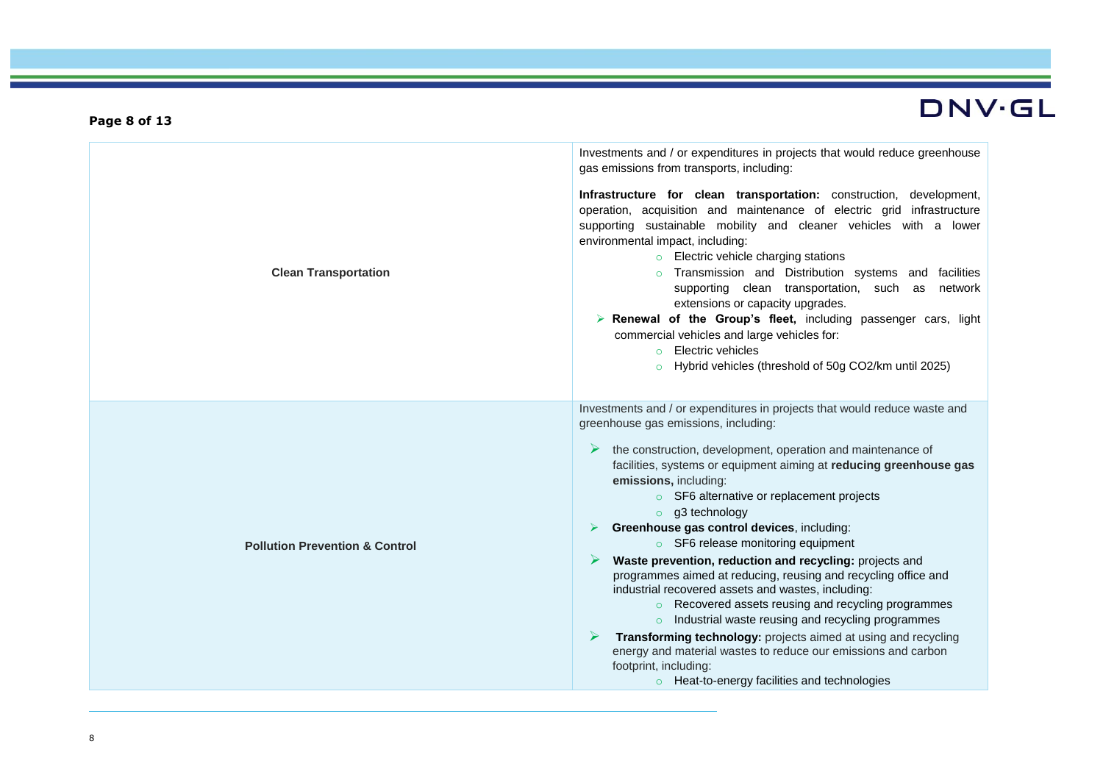|                                           | Investments and / or expenditures in projects that would reduce greenhouse<br>gas emissions from transports, including:                                                                                                                                                                                                                                                                                                                                                                                                                                                                                                                                                                                                                                                                                                                                                                                                                                      |
|-------------------------------------------|--------------------------------------------------------------------------------------------------------------------------------------------------------------------------------------------------------------------------------------------------------------------------------------------------------------------------------------------------------------------------------------------------------------------------------------------------------------------------------------------------------------------------------------------------------------------------------------------------------------------------------------------------------------------------------------------------------------------------------------------------------------------------------------------------------------------------------------------------------------------------------------------------------------------------------------------------------------|
| <b>Clean Transportation</b>               | Infrastructure for clean transportation: construction, development,<br>operation, acquisition and maintenance of electric grid infrastructure<br>supporting sustainable mobility and cleaner vehicles with a lower<br>environmental impact, including:<br><b>Electric vehicle charging stations</b><br>Transmission and Distribution systems and facilities<br>supporting clean transportation, such as network<br>extensions or capacity upgrades.<br>$\triangleright$ Renewal of the Group's fleet, including passenger cars, light<br>commercial vehicles and large vehicles for:<br>o Electric vehicles<br>o Hybrid vehicles (threshold of 50g CO2/km until 2025)                                                                                                                                                                                                                                                                                        |
| <b>Pollution Prevention &amp; Control</b> | Investments and / or expenditures in projects that would reduce waste and<br>greenhouse gas emissions, including:<br>the construction, development, operation and maintenance of<br>facilities, systems or equipment aiming at reducing greenhouse gas<br>emissions, including:<br>○ SF6 alternative or replacement projects<br>$\circ$ g3 technology<br>Greenhouse gas control devices, including:<br>○ SF6 release monitoring equipment<br>Waste prevention, reduction and recycling: projects and<br>programmes aimed at reducing, reusing and recycling office and<br>industrial recovered assets and wastes, including:<br>○ Recovered assets reusing and recycling programmes<br>o Industrial waste reusing and recycling programmes<br>Transforming technology: projects aimed at using and recycling<br>energy and material wastes to reduce our emissions and carbon<br>footprint, including:<br>$\circ$ Heat-to-energy facilities and technologies |

**Page 8 of 13**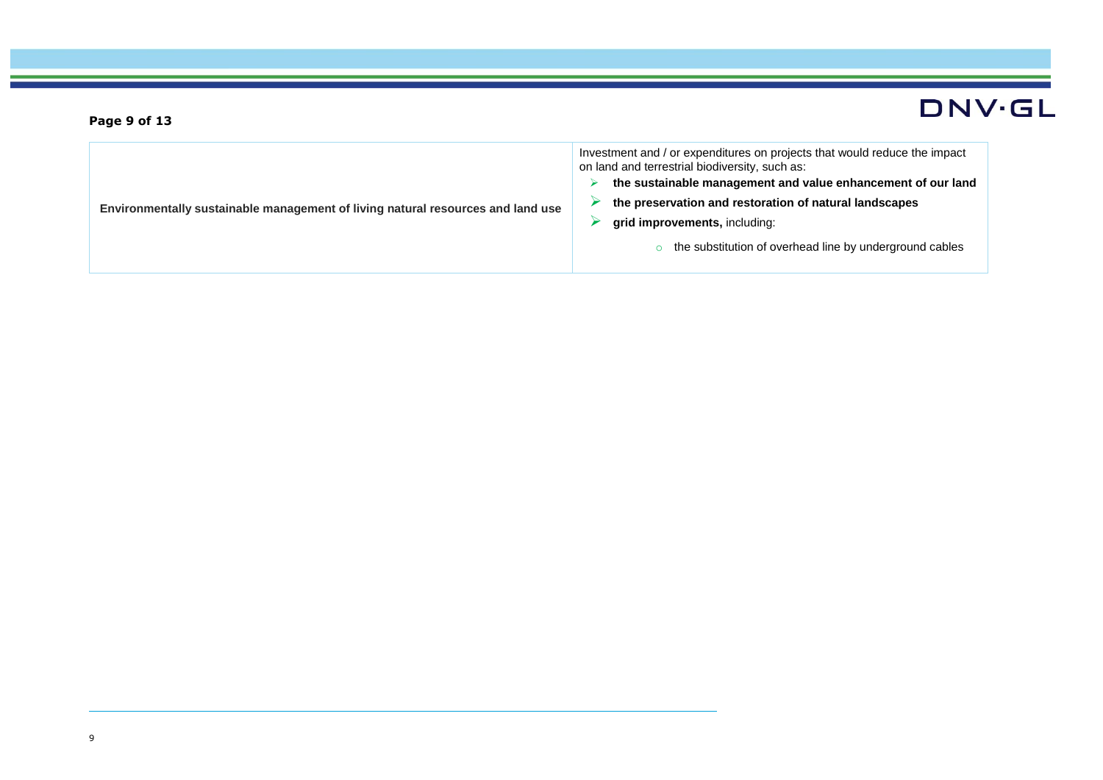| Environmentally sustainable management of living natural resources and land use | Investment and / or expenditures on projects that would reduce the impact<br>on land and terrestrial biodiversity, such as:<br>the sustainable management and value enhancement of our land<br>the preservation and restoration of natural landscapes<br>grid improvements, including:<br>the substitution of overhead line by underground cables |
|---------------------------------------------------------------------------------|---------------------------------------------------------------------------------------------------------------------------------------------------------------------------------------------------------------------------------------------------------------------------------------------------------------------------------------------------|
|---------------------------------------------------------------------------------|---------------------------------------------------------------------------------------------------------------------------------------------------------------------------------------------------------------------------------------------------------------------------------------------------------------------------------------------------|

**Page 9 of 13**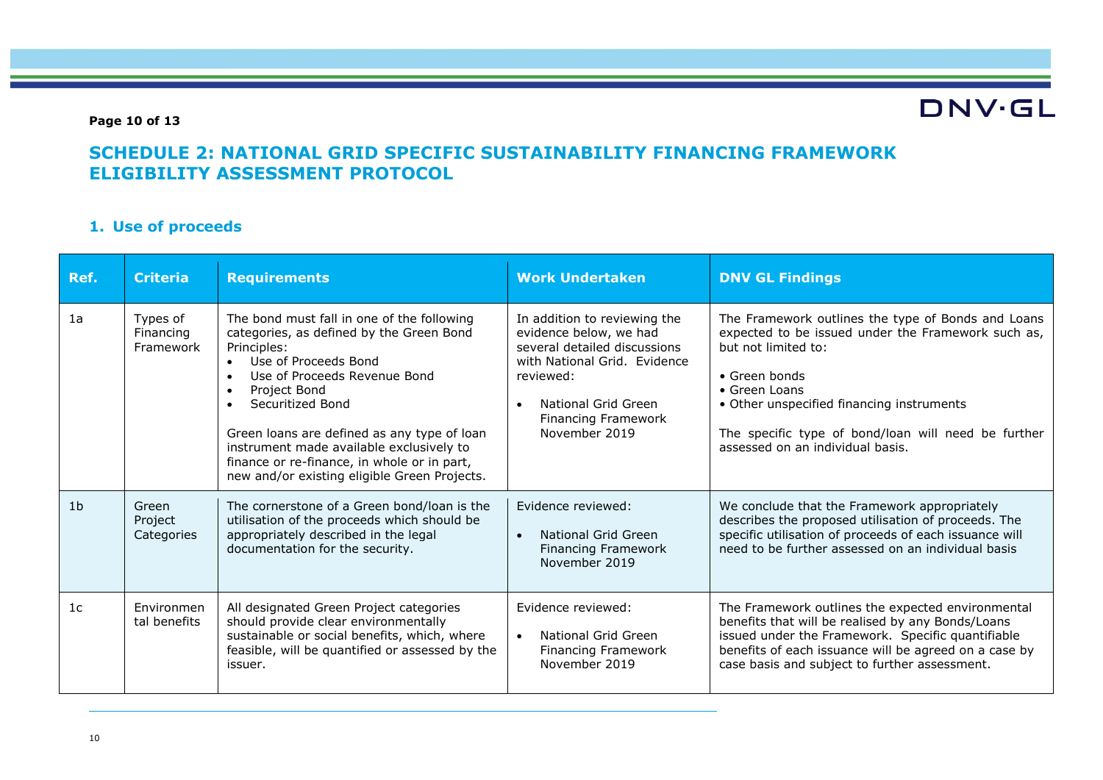#### **Page 10 of 13**

# **DNV·GL**

## **SCHEDULE 2: NATIONAL GRID SPECIFIC SUSTAINABILITY FINANCING FRAMEWORK ELIGIBILITY ASSESSMENT PROTOCOL**

### **1. Use of proceeds**

| Ref.           | <b>Criteria</b>                    | <b>Requirements</b>                                                                                                                                                                                                                                                                                                                                                                         | <b>Work Undertaken</b>                                                                                                                                                                                                 | <b>DNV GL Findings</b>                                                                                                                                                                                                                                                                                    |
|----------------|------------------------------------|---------------------------------------------------------------------------------------------------------------------------------------------------------------------------------------------------------------------------------------------------------------------------------------------------------------------------------------------------------------------------------------------|------------------------------------------------------------------------------------------------------------------------------------------------------------------------------------------------------------------------|-----------------------------------------------------------------------------------------------------------------------------------------------------------------------------------------------------------------------------------------------------------------------------------------------------------|
| 1a             | Types of<br>Financing<br>Framework | The bond must fall in one of the following<br>categories, as defined by the Green Bond<br>Principles:<br>Use of Proceeds Bond<br>Use of Proceeds Revenue Bond<br>Project Bond<br>Securitized Bond<br>Green loans are defined as any type of loan<br>instrument made available exclusively to<br>finance or re-finance, in whole or in part,<br>new and/or existing eligible Green Projects. | In addition to reviewing the<br>evidence below, we had<br>several detailed discussions<br>with National Grid. Evidence<br>reviewed:<br>National Grid Green<br>$\bullet$<br><b>Financing Framework</b><br>November 2019 | The Framework outlines the type of Bonds and Loans<br>expected to be issued under the Framework such as,<br>but not limited to:<br>• Green bonds<br>• Green Loans<br>• Other unspecified financing instruments<br>The specific type of bond/loan will need be further<br>assessed on an individual basis. |
| 1 <sub>b</sub> | Green<br>Project<br>Categories     | The cornerstone of a Green bond/loan is the<br>utilisation of the proceeds which should be<br>appropriately described in the legal<br>documentation for the security.                                                                                                                                                                                                                       | Evidence reviewed:<br>National Grid Green<br>$\bullet$<br><b>Financing Framework</b><br>November 2019                                                                                                                  | We conclude that the Framework appropriately<br>describes the proposed utilisation of proceeds. The<br>specific utilisation of proceeds of each issuance will<br>need to be further assessed on an individual basis                                                                                       |
| 1 <sub>c</sub> | Environmen<br>tal benefits         | All designated Green Project categories<br>should provide clear environmentally<br>sustainable or social benefits, which, where<br>feasible, will be quantified or assessed by the<br>issuer.                                                                                                                                                                                               | Evidence reviewed:<br>National Grid Green<br>$\bullet$<br><b>Financing Framework</b><br>November 2019                                                                                                                  | The Framework outlines the expected environmental<br>benefits that will be realised by any Bonds/Loans<br>issued under the Framework. Specific quantifiable<br>benefits of each issuance will be agreed on a case by<br>case basis and subject to further assessment.                                     |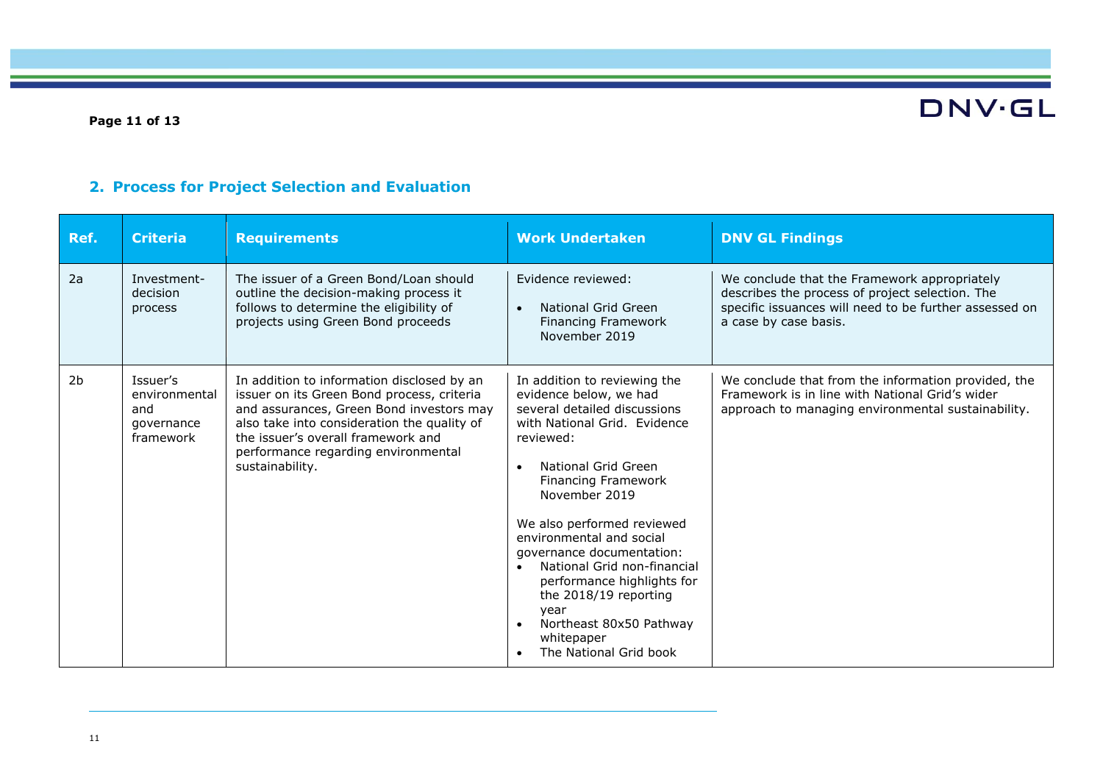### **Page 11 of 13**

### **2. Process for Project Selection and Evaluation**

| Ref. | <b>Criteria</b>                                             | <b>Requirements</b>                                                                                                                                                                                                                                                                 | <b>Work Undertaken</b>                                                                                                                                                                                                                                                                                                                                                                                                                                                                            | <b>DNV GL Findings</b>                                                                                                                                                             |
|------|-------------------------------------------------------------|-------------------------------------------------------------------------------------------------------------------------------------------------------------------------------------------------------------------------------------------------------------------------------------|---------------------------------------------------------------------------------------------------------------------------------------------------------------------------------------------------------------------------------------------------------------------------------------------------------------------------------------------------------------------------------------------------------------------------------------------------------------------------------------------------|------------------------------------------------------------------------------------------------------------------------------------------------------------------------------------|
| 2a   | Investment-<br>decision<br>process                          | The issuer of a Green Bond/Loan should<br>outline the decision-making process it<br>follows to determine the eligibility of<br>projects using Green Bond proceeds                                                                                                                   | Evidence reviewed:<br>National Grid Green<br>$\bullet$<br><b>Financing Framework</b><br>November 2019                                                                                                                                                                                                                                                                                                                                                                                             | We conclude that the Framework appropriately<br>describes the process of project selection. The<br>specific issuances will need to be further assessed on<br>a case by case basis. |
| 2b   | Issuer's<br>environmental<br>and<br>governance<br>framework | In addition to information disclosed by an<br>issuer on its Green Bond process, criteria<br>and assurances, Green Bond investors may<br>also take into consideration the quality of<br>the issuer's overall framework and<br>performance regarding environmental<br>sustainability. | In addition to reviewing the<br>evidence below, we had<br>several detailed discussions<br>with National Grid. Evidence<br>reviewed:<br>National Grid Green<br>$\bullet$<br>Financing Framework<br>November 2019<br>We also performed reviewed<br>environmental and social<br>governance documentation:<br>National Grid non-financial<br>$\bullet$<br>performance highlights for<br>the 2018/19 reporting<br>year<br>Northeast 80x50 Pathway<br>whitepaper<br>The National Grid book<br>$\bullet$ | We conclude that from the information provided, the<br>Framework is in line with National Grid's wider<br>approach to managing environmental sustainability.                       |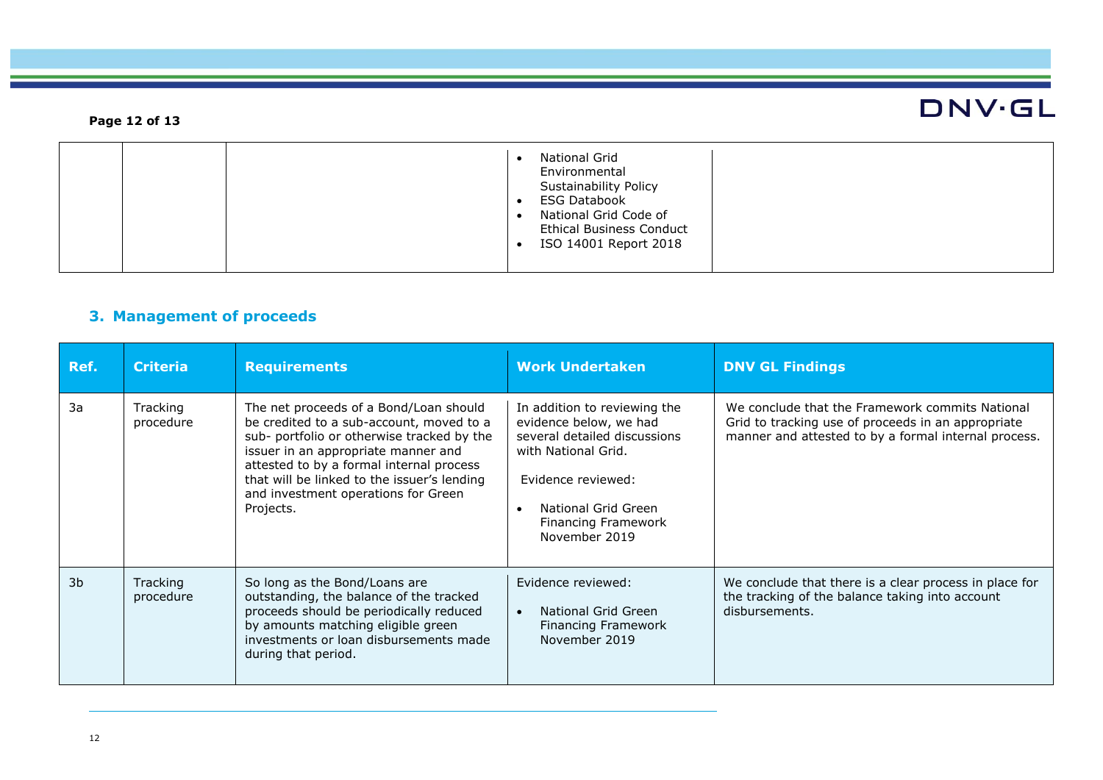### **DNV·GL Page 12 of 13** • National Grid Environmental Sustainability Policy • ESG Databook • National Grid Code of Ethical Business Conduct • ISO 14001 Report 2018

### **3. Management of proceeds**

| Ref.           | <b>Criteria</b>       | <b>Requirements</b>                                                                                                                                                                                                                                                                                                    | <b>Work Undertaken</b>                                                                                                                                                                                                 | <b>DNV GL Findings</b>                                                                                                                                        |
|----------------|-----------------------|------------------------------------------------------------------------------------------------------------------------------------------------------------------------------------------------------------------------------------------------------------------------------------------------------------------------|------------------------------------------------------------------------------------------------------------------------------------------------------------------------------------------------------------------------|---------------------------------------------------------------------------------------------------------------------------------------------------------------|
| 3a             | Tracking<br>procedure | The net proceeds of a Bond/Loan should<br>be credited to a sub-account, moved to a<br>sub- portfolio or otherwise tracked by the<br>issuer in an appropriate manner and<br>attested to by a formal internal process<br>that will be linked to the issuer's lending<br>and investment operations for Green<br>Projects. | In addition to reviewing the<br>evidence below, we had<br>several detailed discussions<br>with National Grid.<br>Evidence reviewed:<br>National Grid Green<br>$\bullet$<br><b>Financing Framework</b><br>November 2019 | We conclude that the Framework commits National<br>Grid to tracking use of proceeds in an appropriate<br>manner and attested to by a formal internal process. |
| 3 <sub>b</sub> | Tracking<br>procedure | So long as the Bond/Loans are<br>outstanding, the balance of the tracked<br>proceeds should be periodically reduced<br>by amounts matching eligible green<br>investments or loan disbursements made<br>during that period.                                                                                             | Evidence reviewed:<br>National Grid Green<br>$\bullet$<br><b>Financing Framework</b><br>November 2019                                                                                                                  | We conclude that there is a clear process in place for<br>the tracking of the balance taking into account<br>disbursements.                                   |